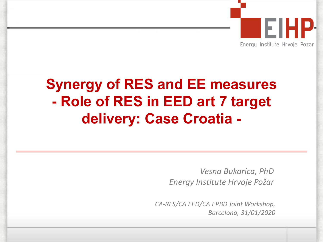

# **Synergy of RES and EE measures - Role of RES in EED art 7 target delivery: Case Croatia -**

*Vesna Bukarica, PhD Energy Institute Hrvoje Požar*

*CA-RES/CA EED/CA EPBD Joint Workshop, Barcelona, 31/01/2020*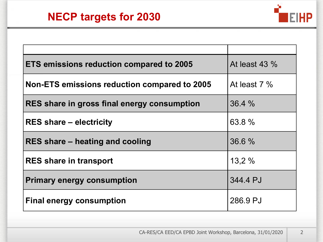

| <b>ETS emissions reduction compared to 2005</b> | At least $43\%$ |
|-------------------------------------------------|-----------------|
| Non-ETS emissions reduction compared to 2005    | At least $7\%$  |
| RES share in gross final energy consumption     | 36.4%           |
| <b>RES share – electricity</b>                  | 63.8 %          |
| RES share – heating and cooling                 | 36.6 %          |
| <b>RES</b> share in transport                   | 13.2%           |
| <b>Primary energy consumption</b>               | 344.4 PJ        |
| <b>Final energy consumption</b>                 | 286.9 PJ        |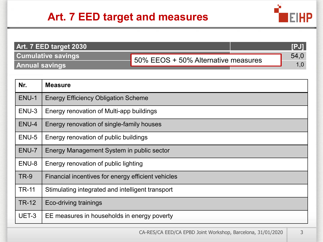

| Art. 7 EED target 2030    |                                     |  |                |
|---------------------------|-------------------------------------|--|----------------|
| <b>Cumulative savings</b> | 50% EEOS + 50% Alternative measures |  | $54.0^{\circ}$ |
| <b>Annual savings</b>     |                                     |  |                |

| Nr.          | <b>Measure</b>                                     |
|--------------|----------------------------------------------------|
| ENU-1        | <b>Energy Efficiency Obligation Scheme</b>         |
| ENU-3        | Energy renovation of Multi-app buildings           |
| ENU-4        | Energy renovation of single-family houses          |
| ENU-5        | Energy renovation of public buildings              |
| ENU-7        | Energy Management System in public sector          |
| ENU-8        | Energy renovation of public lighting               |
| <b>TR-9</b>  | Financial incentives for energy efficient vehicles |
| <b>TR-11</b> | Stimulating integrated and intelligent transport   |
| <b>TR-12</b> | Eco-driving trainings                              |
| UET-3        | EE measures in households in energy poverty        |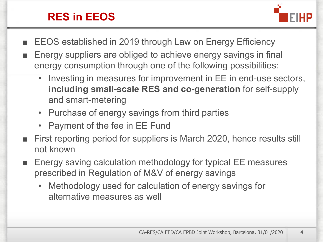### **RES in EEOS**



- EEOS established in 2019 through Law on Energy Efficiency
- Energy suppliers are obliged to achieve energy savings in final energy consumption through one of the following possibilities:
	- Investing in measures for improvement in EE in end-use sectors, **including small-scale RES and co-generation** for self-supply and smart-metering
	- Purchase of energy savings from third parties
	- Payment of the fee in EE Fund
- First reporting period for suppliers is March 2020, hence results still not known
- Energy saving calculation methodology for typical EE measures prescribed in Regulation of M&V of energy savings
	- Methodology used for calculation of energy savings for alternative measures as well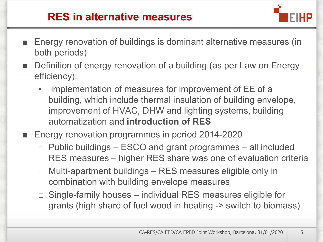### **RES in alternative measures**



- Energy renovation of buildings is dominant alternative measures (in both periods)
- Definition of energy renovation of a building (as per Law on Energy efficiency):
	- implementation of measures for improvement of EE of a building, which include thermal insulation of building envelope, improvement of HVAC, DHW and lighting systems, building automatization and **introduction of RES**
- Energy renovation programmes in period 2014-2020
	- $\Box$  Public buildings ESCO and grant programmes all included RES measures – higher RES share was one of evaluation criteria
	- $\Box$  Multi-apartment buildings  $-$  RES measures eligible only in combination with building envelope measures
	- $\Box$  Single-family houses individual RES measures eligible for grants (high share of fuel wood in heating -> switch to biomass)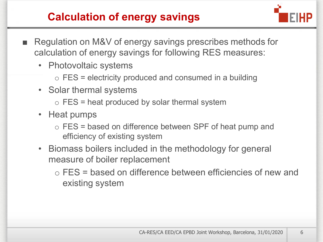# **Calculation of energy savings**



- Regulation on M&V of energy savings prescribes methods for calculation of energy savings for following RES measures:
	- Photovoltaic systems
		- $\circ$  FES = electricity produced and consumed in a building
	- Solar thermal systems
		- $\circ$  FES = heat produced by solar thermal system
	- Heat pumps
		- o FES = based on difference between SPF of heat pump and efficiency of existing system
	- Biomass boilers included in the methodology for general measure of boiler replacement
		- o FES = based on difference between efficiencies of new and existing system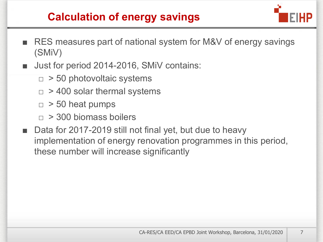## **Calculation of energy savings**



- RES measures part of national system for M&V of energy savings (SMiV)
- Just for period 2014-2016, SMiV contains:
	- $\Box > 50$  photovoltaic systems
	- $\Box$  > 400 solar thermal systems
	- $\Box > 50$  heat pumps
	- $\Box$  > 300 biomass boilers
- Data for 2017-2019 still not final yet, but due to heavy implementation of energy renovation programmes in this period, these number will increase significantly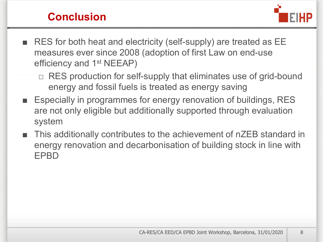#### **Conclusion**



- RES for both heat and electricity (self-supply) are treated as EE measures ever since 2008 (adoption of first Law on end-use efficiency and 1<sup>st</sup> NEEAP)
	- □ RES production for self-supply that eliminates use of grid-bound energy and fossil fuels is treated as energy saving
- Especially in programmes for energy renovation of buildings, RES are not only eligible but additionally supported through evaluation system
- This additionally contributes to the achievement of nZEB standard in energy renovation and decarbonisation of building stock in line with EPBD